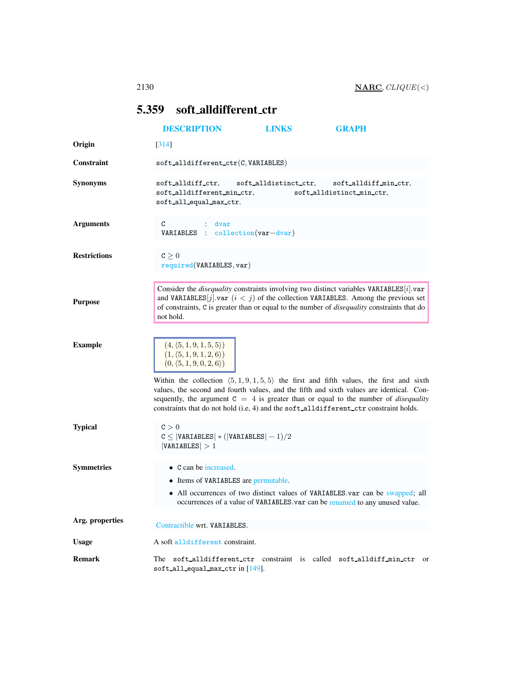# <span id="page-0-0"></span>5.359 soft alldifferent ctr

|                     | <b>DESCRIPTION</b>                                                                                                                                                                                                                                                                                                                                                                                                                                                                                               | LINKS                 | <b>GRAPH</b>                                                                                                                                                 |
|---------------------|------------------------------------------------------------------------------------------------------------------------------------------------------------------------------------------------------------------------------------------------------------------------------------------------------------------------------------------------------------------------------------------------------------------------------------------------------------------------------------------------------------------|-----------------------|--------------------------------------------------------------------------------------------------------------------------------------------------------------|
| Origin              | [314]                                                                                                                                                                                                                                                                                                                                                                                                                                                                                                            |                       |                                                                                                                                                              |
| Constraint          | $\texttt{soft\_alldifferent\_ctr}(C, \texttt{VARIABLES})$                                                                                                                                                                                                                                                                                                                                                                                                                                                        |                       |                                                                                                                                                              |
| <b>Synonyms</b>     | soft_alldiff_ctr,<br>soft_alldifferent_min_ctr,<br>soft_all_equal_max_ctr.                                                                                                                                                                                                                                                                                                                                                                                                                                       | soft_alldistinct_ctr, | soft_alldiff_min_ctr,<br>soft_alldistinct_min_ctr,                                                                                                           |
| <b>Arguments</b>    | : dvar<br>C<br>VARIABLES : collection(var-dvar)                                                                                                                                                                                                                                                                                                                                                                                                                                                                  |                       |                                                                                                                                                              |
| <b>Restrictions</b> | $C \geq 0$<br>required(VARIABLES, var)                                                                                                                                                                                                                                                                                                                                                                                                                                                                           |                       |                                                                                                                                                              |
| <b>Purpose</b>      | Consider the <i>disequality</i> constraints involving two distinct variables VARIABLES[i].var<br>and VARIABLES $[j]$ var $(i < j)$ of the collection VARIABLES. Among the previous set<br>of constraints, C is greater than or equal to the number of <i>disequality</i> constraints that do<br>not hold.                                                                                                                                                                                                        |                       |                                                                                                                                                              |
| <b>Example</b>      | $(4, \langle 5, 1, 9, 1, 5, 5 \rangle)$<br>$(1, \langle 5, 1, 9, 1, 2, 6 \rangle)$<br>$(0, \langle 5, 1, 9, 0, 2, 6 \rangle)$<br>Within the collection $(5, 1, 9, 1, 5, 5)$ the first and fifth values, the first and sixth<br>values, the second and fourth values, and the fifth and sixth values are identical. Con-<br>sequently, the argument $C = 4$ is greater than or equal to the number of <i>disequality</i><br>constraints that do not hold (i.e, 4) and the soft_alldifferent_ctr constraint holds. |                       |                                                                                                                                                              |
| <b>Typical</b>      | C > 0<br>$C \leq  VARIABLES  * ( VARIABLES  - 1)/2$<br> VARIABLES  > 1                                                                                                                                                                                                                                                                                                                                                                                                                                           |                       |                                                                                                                                                              |
| <b>Symmetries</b>   | $\bullet$ C can be increased.<br>• Items of VARIABLES are permutable.                                                                                                                                                                                                                                                                                                                                                                                                                                            |                       | • All occurrences of two distinct values of VARIABLES.var can be swapped; all<br>occurrences of a value of VARIABLES.var can be renamed to any unused value. |
| Arg. properties     | Contractible wrt. VARIABLES.                                                                                                                                                                                                                                                                                                                                                                                                                                                                                     |                       |                                                                                                                                                              |
| <b>Usage</b>        | A soft alldifferent constraint.                                                                                                                                                                                                                                                                                                                                                                                                                                                                                  |                       |                                                                                                                                                              |
| <b>Remark</b>       | The soft_alldifferent_ctr constraint is called soft_alldiff_min_ctr or<br>soft all equal max $ctr$ in $[149]$ .                                                                                                                                                                                                                                                                                                                                                                                                  |                       |                                                                                                                                                              |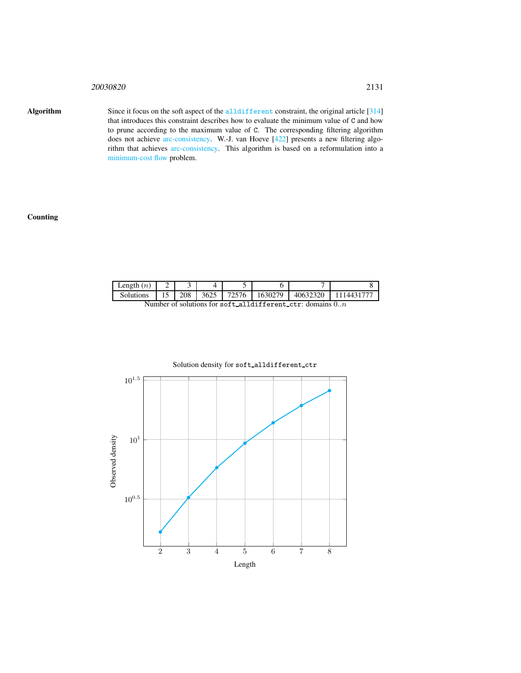Algorithm Since it focus on the soft aspect of the all different constraint, the original article [314] that introduces this constraint describes how to evaluate the minimum value of C and how to prune according to the maximum value of C. The corresponding filtering algorithm does not achieve arc-consistency. W.-J. van Hoeve [422] presents a new filtering algorithm that achieves arc-consistency. This algorithm is based on a reformulation into a minimum-cost flow problem.

#### **Counting**

| Length $(n)$                                                |  |     |  |                |         |          |           |
|-------------------------------------------------------------|--|-----|--|----------------|---------|----------|-----------|
| Solutions                                                   |  | 208 |  | $13625$ 172576 | 1630279 | 40632320 | 111443177 |
| Number of solutions for soft-alldifferent-ctr: domains $0n$ |  |     |  |                |         |          |           |



#### Solution density for soft alldifferent ctr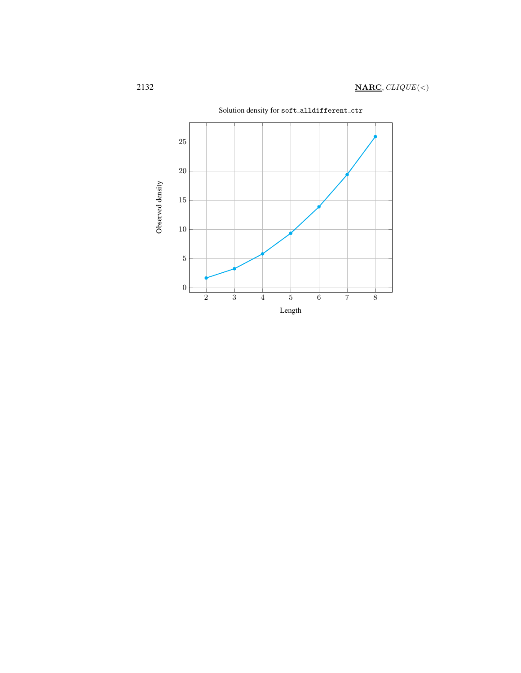

Solution density for soft alldifferent ctr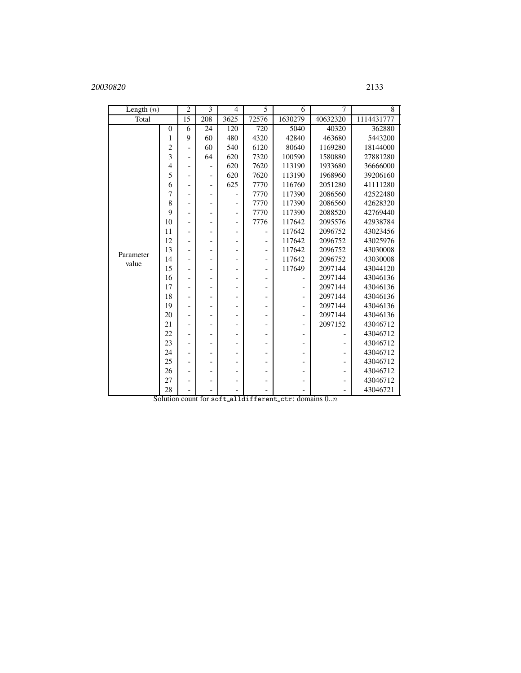| Length $(n)$       |                        | $\overline{2}$           | $\overline{3}$           | $\overline{4}$           | 5                        | 6                        | 7              | 8          |
|--------------------|------------------------|--------------------------|--------------------------|--------------------------|--------------------------|--------------------------|----------------|------------|
| Total              |                        | $\overline{15}$          | 208                      | 3625                     | 72576                    | 1630279                  | 40632320       | 1114431777 |
|                    | $\theta$               | 6                        | 24                       | 120                      | $\overline{720}$         | 5040                     | 40320          | 362880     |
|                    | 1                      | 9                        | 60                       | 480                      | 4320                     | 42840                    | 463680         | 5443200    |
|                    | $\overline{c}$         | $\overline{a}$           | 60                       | 540                      | 6120                     | 80640                    | 1169280        | 18144000   |
|                    | 3                      | $\overline{a}$           | 64                       | 620                      | 7320                     | 100590                   | 1580880        | 27881280   |
|                    | $\overline{4}$         | $\overline{a}$           | $\overline{\phantom{a}}$ | 620                      | 7620                     | 113190                   | 1933680        | 36666000   |
|                    | 5                      | $\overline{\phantom{0}}$ | $\overline{\phantom{a}}$ | 620                      | 7620                     | 113190                   | 1968960        | 39206160   |
|                    | 6                      |                          | $\overline{\phantom{a}}$ | 625                      | 7770                     | 116760                   | 2051280        | 41111280   |
|                    | 7                      |                          | $\overline{\phantom{a}}$ |                          | 7770                     | 117390                   | 2086560        | 42522480   |
|                    | 8                      | -                        | $\qquad \qquad -$        | -                        | 7770                     | 117390                   | 2086560        | 42628320   |
|                    | 9                      | $\overline{a}$           | $\overline{\phantom{a}}$ | $\overline{\phantom{a}}$ | 7770                     | 117390                   | 2088520        | 42769440   |
|                    | 10                     | -                        | $\overline{\phantom{0}}$ | $\overline{\phantom{0}}$ | 7776                     | 117642                   | 2095576        | 42938784   |
| Parameter<br>value | 11                     | $\overline{a}$           | $\overline{a}$           | -                        |                          | 117642                   | 2096752        | 43023456   |
|                    | 12                     |                          | $\overline{\phantom{a}}$ | -                        |                          | 117642                   | 2096752        | 43025976   |
|                    | 13                     | -                        | $\qquad \qquad -$        |                          | $\qquad \qquad -$        | 117642                   | 2096752        | 43030008   |
|                    | 14                     | $\overline{a}$           | $\overline{\phantom{a}}$ | $\overline{\phantom{0}}$ | -                        | 117642                   | 2096752        | 43030008   |
|                    | 15                     | -                        | $\overline{\phantom{a}}$ | $\overline{\phantom{0}}$ | $\overline{\phantom{0}}$ | 117649                   | 2097144        | 43044120   |
|                    | 16                     | $\overline{a}$           | $\overline{\phantom{a}}$ | -                        | $\qquad \qquad -$        |                          | 2097144        | 43046136   |
|                    | 17                     |                          | $\overline{a}$           | -                        |                          | $\overline{a}$           | 2097144        | 43046136   |
|                    | 18                     |                          | $\overline{\phantom{a}}$ | $\overline{a}$           | -                        | $\overline{a}$           | 2097144        | 43046136   |
|                    | 19                     | $\overline{a}$           | $\overline{\phantom{a}}$ | -                        |                          | $\overline{\phantom{0}}$ | 2097144        | 43046136   |
|                    | 20                     | $\overline{a}$           | $\overline{\phantom{a}}$ | -                        | -                        | $\qquad \qquad -$        | 2097144        | 43046136   |
|                    | 21                     | ۳                        | $\overline{\phantom{0}}$ | -                        | -                        | $\overline{a}$           | 2097152        | 43046712   |
|                    | 22                     | -                        | $\overline{\phantom{0}}$ |                          |                          | $\overline{a}$           |                | 43046712   |
|                    | 23                     | ۰                        | $\overline{\phantom{a}}$ |                          |                          | $\qquad \qquad -$        |                | 43046712   |
|                    | 24                     | $\overline{\phantom{0}}$ | $\qquad \qquad -$        |                          |                          | $\overline{\phantom{0}}$ |                | 43046712   |
|                    | 25                     | $\overline{a}$           | $\overline{\phantom{a}}$ | -                        |                          | $\overline{a}$           | $\overline{a}$ | 43046712   |
|                    | 26                     | -                        | $\overline{\phantom{0}}$ |                          |                          | $\overline{\phantom{0}}$ | -              | 43046712   |
|                    | 27                     | $\overline{a}$           | $\overline{\phantom{a}}$ | ٠                        | ٠                        | -                        | ٠              | 43046712   |
|                    | 28<br>$\overline{a}$ 1 |                          |                          | - -                      | $\cdot$ $\cdot$ $\cdot$  |                          |                | 43046721   |

Solution count for soft\_alldifferent\_ctr: domains  $0..n$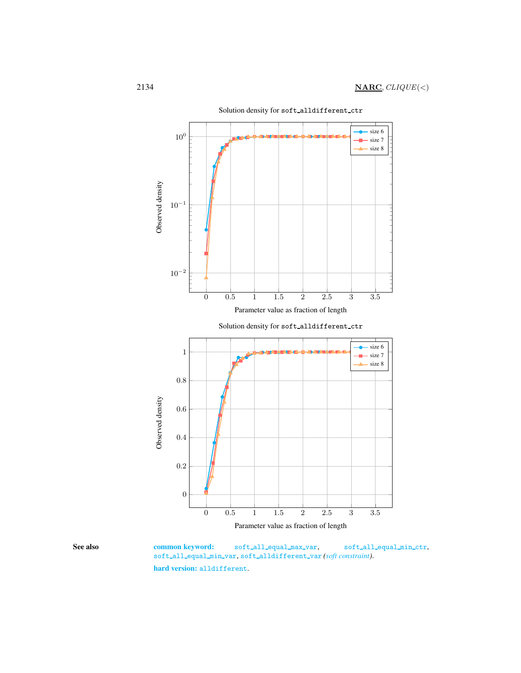

<span id="page-4-0"></span>See also common keyword: soft\_all\_equal\_max\_var, soft\_all\_equal\_min\_ctr, soft all equal min var, soft alldifferent var *(soft constraint)*. hard version: alldifferent.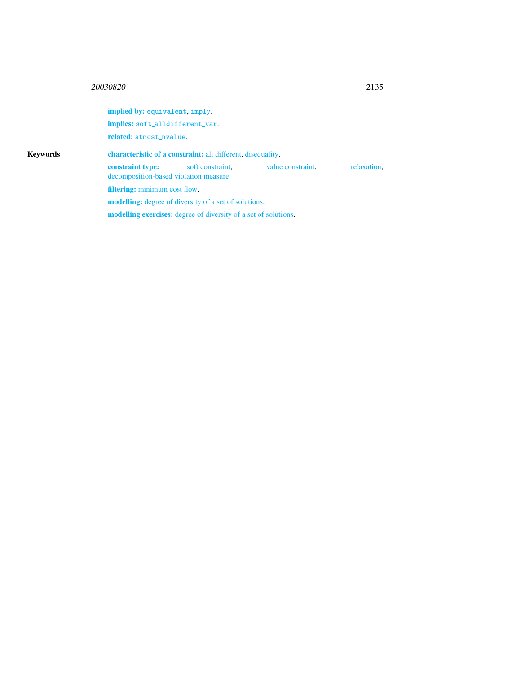implied by: equivalent, imply. implies: soft\_alldifferent\_var. related: atmost\_nvalue. Keywords characteristic of a constraint: all different, disequality. constraint type: soft constraint, value constraint, relaxation, decomposition-based violation measure. filtering: minimum cost flow. modelling: degree of diversity of a set of solutions. modelling exercises: degree of diversity of a set of solutions.